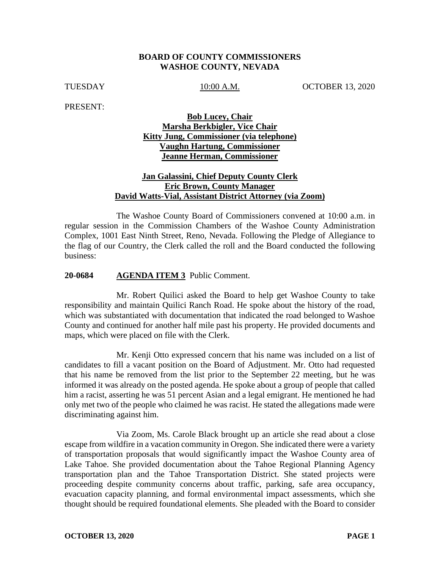### **BOARD OF COUNTY COMMISSIONERS WASHOE COUNTY, NEVADA**

TUESDAY 10:00 A.M. OCTOBER 13, 2020

PRESENT:

# **Bob Lucey, Chair Marsha Berkbigler, Vice Chair Kitty Jung, Commissioner (via telephone) Vaughn Hartung, Commissioner Jeanne Herman, Commissioner**

### **Jan Galassini, Chief Deputy County Clerk Eric Brown, County Manager David Watts-Vial, Assistant District Attorney (via Zoom)**

The Washoe County Board of Commissioners convened at 10:00 a.m. in regular session in the Commission Chambers of the Washoe County Administration Complex, 1001 East Ninth Street, Reno, Nevada. Following the Pledge of Allegiance to the flag of our Country, the Clerk called the roll and the Board conducted the following business:

#### **20-0684 AGENDA ITEM 3** Public Comment.

Mr. Robert Quilici asked the Board to help get Washoe County to take responsibility and maintain Quilici Ranch Road. He spoke about the history of the road, which was substantiated with documentation that indicated the road belonged to Washoe County and continued for another half mile past his property. He provided documents and maps, which were placed on file with the Clerk.

Mr. Kenji Otto expressed concern that his name was included on a list of candidates to fill a vacant position on the Board of Adjustment. Mr. Otto had requested that his name be removed from the list prior to the September 22 meeting, but he was informed it was already on the posted agenda. He spoke about a group of people that called him a racist, asserting he was 51 percent Asian and a legal emigrant. He mentioned he had only met two of the people who claimed he was racist. He stated the allegations made were discriminating against him.

Via Zoom, Ms. Carole Black brought up an article she read about a close escape from wildfire in a vacation community in Oregon. She indicated there were a variety of transportation proposals that would significantly impact the Washoe County area of Lake Tahoe. She provided documentation about the Tahoe Regional Planning Agency transportation plan and the Tahoe Transportation District. She stated projects were proceeding despite community concerns about traffic, parking, safe area occupancy, evacuation capacity planning, and formal environmental impact assessments, which she thought should be required foundational elements. She pleaded with the Board to consider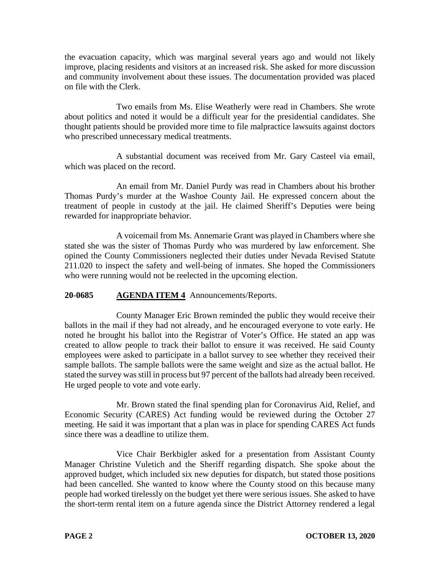the evacuation capacity, which was marginal several years ago and would not likely improve, placing residents and visitors at an increased risk. She asked for more discussion and community involvement about these issues. The documentation provided was placed on file with the Clerk.

Two emails from Ms. Elise Weatherly were read in Chambers. She wrote about politics and noted it would be a difficult year for the presidential candidates. She thought patients should be provided more time to file malpractice lawsuits against doctors who prescribed unnecessary medical treatments.

A substantial document was received from Mr. Gary Casteel via email, which was placed on the record.

An email from Mr. Daniel Purdy was read in Chambers about his brother Thomas Purdy's murder at the Washoe County Jail. He expressed concern about the treatment of people in custody at the jail. He claimed Sheriff's Deputies were being rewarded for inappropriate behavior.

A voicemail from Ms. Annemarie Grant was played in Chambers where she stated she was the sister of Thomas Purdy who was murdered by law enforcement. She opined the County Commissioners neglected their duties under Nevada Revised Statute 211.020 to inspect the safety and well-being of inmates. She hoped the Commissioners who were running would not be reelected in the upcoming election.

# **20-0685 AGENDA ITEM 4** Announcements/Reports.

County Manager Eric Brown reminded the public they would receive their ballots in the mail if they had not already, and he encouraged everyone to vote early. He noted he brought his ballot into the Registrar of Voter's Office. He stated an app was created to allow people to track their ballot to ensure it was received. He said County employees were asked to participate in a ballot survey to see whether they received their sample ballots. The sample ballots were the same weight and size as the actual ballot. He stated the survey was still in process but 97 percent of the ballots had already been received. He urged people to vote and vote early.

Mr. Brown stated the final spending plan for Coronavirus Aid, Relief, and Economic Security (CARES) Act funding would be reviewed during the October 27 meeting. He said it was important that a plan was in place for spending CARES Act funds since there was a deadline to utilize them.

Vice Chair Berkbigler asked for a presentation from Assistant County Manager Christine Vuletich and the Sheriff regarding dispatch. She spoke about the approved budget, which included six new deputies for dispatch, but stated those positions had been cancelled. She wanted to know where the County stood on this because many people had worked tirelessly on the budget yet there were serious issues. She asked to have the short-term rental item on a future agenda since the District Attorney rendered a legal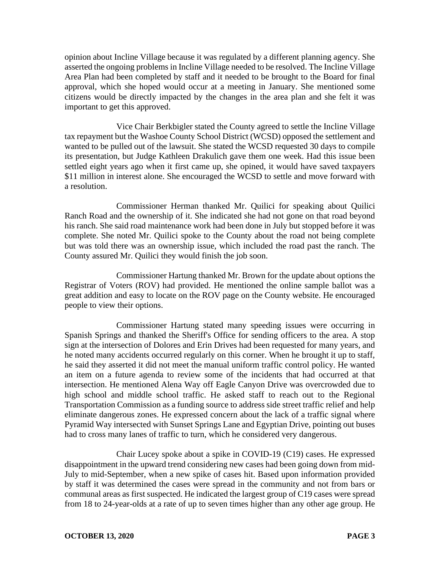opinion about Incline Village because it was regulated by a different planning agency. She asserted the ongoing problems in Incline Village needed to be resolved. The Incline Village Area Plan had been completed by staff and it needed to be brought to the Board for final approval, which she hoped would occur at a meeting in January. She mentioned some citizens would be directly impacted by the changes in the area plan and she felt it was important to get this approved.

Vice Chair Berkbigler stated the County agreed to settle the Incline Village tax repayment but the Washoe County School District (WCSD) opposed the settlement and wanted to be pulled out of the lawsuit. She stated the WCSD requested 30 days to compile its presentation, but Judge Kathleen Drakulich gave them one week. Had this issue been settled eight years ago when it first came up, she opined, it would have saved taxpayers \$11 million in interest alone. She encouraged the WCSD to settle and move forward with a resolution.

Commissioner Herman thanked Mr. Quilici for speaking about Quilici Ranch Road and the ownership of it. She indicated she had not gone on that road beyond his ranch. She said road maintenance work had been done in July but stopped before it was complete. She noted Mr. Quilici spoke to the County about the road not being complete but was told there was an ownership issue, which included the road past the ranch. The County assured Mr. Quilici they would finish the job soon.

Commissioner Hartung thanked Mr. Brown for the update about options the Registrar of Voters (ROV) had provided. He mentioned the online sample ballot was a great addition and easy to locate on the ROV page on the County website. He encouraged people to view their options.

Commissioner Hartung stated many speeding issues were occurring in Spanish Springs and thanked the Sheriff's Office for sending officers to the area. A stop sign at the intersection of Dolores and Erin Drives had been requested for many years, and he noted many accidents occurred regularly on this corner. When he brought it up to staff, he said they asserted it did not meet the manual uniform traffic control policy. He wanted an item on a future agenda to review some of the incidents that had occurred at that intersection. He mentioned Alena Way off Eagle Canyon Drive was overcrowded due to high school and middle school traffic. He asked staff to reach out to the Regional Transportation Commission as a funding source to address side street traffic relief and help eliminate dangerous zones. He expressed concern about the lack of a traffic signal where Pyramid Way intersected with Sunset Springs Lane and Egyptian Drive, pointing out buses had to cross many lanes of traffic to turn, which he considered very dangerous.

Chair Lucey spoke about a spike in COVID-19 (C19) cases. He expressed disappointment in the upward trend considering new cases had been going down from mid-July to mid-September, when a new spike of cases hit. Based upon information provided by staff it was determined the cases were spread in the community and not from bars or communal areas as first suspected. He indicated the largest group of C19 cases were spread from 18 to 24-year-olds at a rate of up to seven times higher than any other age group. He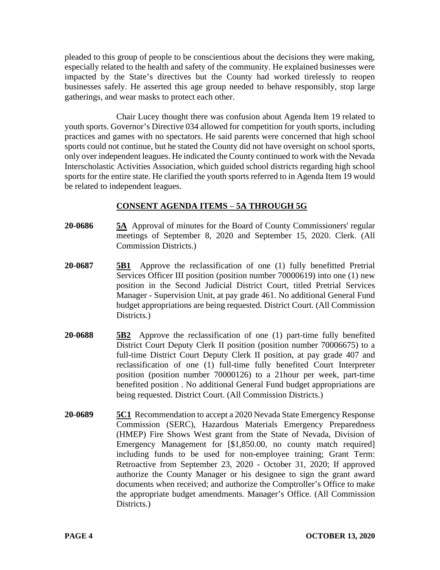pleaded to this group of people to be conscientious about the decisions they were making, especially related to the health and safety of the community. He explained businesses were impacted by the State's directives but the County had worked tirelessly to reopen businesses safely. He asserted this age group needed to behave responsibly, stop large gatherings, and wear masks to protect each other.

Chair Lucey thought there was confusion about Agenda Item 19 related to youth sports. Governor's Directive 034 allowed for competition for youth sports, including practices and games with no spectators. He said parents were concerned that high school sports could not continue, but he stated the County did not have oversight on school sports, only over independent leagues. He indicated the County continued to work with the Nevada Interscholastic Activities Association, which guided school districts regarding high school sports for the entire state. He clarified the youth sports referred to in Agenda Item 19 would be related to independent leagues.

# **CONSENT AGENDA ITEMS** – **5A THROUGH 5G**

- **20-0686 5A** Approval of minutes for the Board of County Commissioners' regular meetings of September 8, 2020 and September 15, 2020. Clerk. (All Commission Districts.)
- **20-0687 5B1** Approve the reclassification of one (1) fully benefitted Pretrial Services Officer III position (position number 70000619) into one (1) new position in the Second Judicial District Court, titled Pretrial Services Manager - Supervision Unit, at pay grade 461. No additional General Fund budget appropriations are being requested. District Court. (All Commission Districts.
- **20-0688 5B2** Approve the reclassification of one (1) part-time fully benefited District Court Deputy Clerk II position (position number 70006675) to a full-time District Court Deputy Clerk II position, at pay grade 407 and reclassification of one (1) full-time fully benefited Court Interpreter position (position number 70000126) to a 21hour per week, part-time benefited position . No additional General Fund budget appropriations are being requested. District Court. (All Commission Districts.)
- **20-0689 5C1** Recommendation to accept a 2020 Nevada State Emergency Response Commission (SERC), Hazardous Materials Emergency Preparedness (HMEP) Fire Shows West grant from the State of Nevada, Division of Emergency Management for [\$1,850.00, no county match required] including funds to be used for non-employee training; Grant Term: Retroactive from September 23, 2020 - October 31, 2020; If approved authorize the County Manager or his designee to sign the grant award documents when received; and authorize the Comptroller's Office to make the appropriate budget amendments. Manager's Office. (All Commission Districts.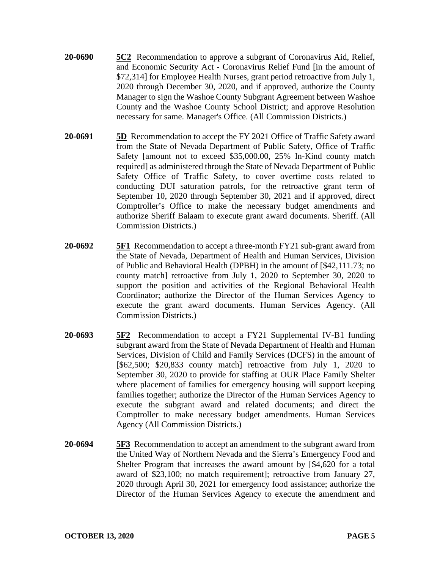- **20-0690 5C2** Recommendation to approve a subgrant of Coronavirus Aid, Relief, and Economic Security Act - Coronavirus Relief Fund [in the amount of \$72,314] for Employee Health Nurses, grant period retroactive from July 1, 2020 through December 30, 2020, and if approved, authorize the County Manager to sign the Washoe County Subgrant Agreement between Washoe County and the Washoe County School District; and approve Resolution necessary for same. Manager's Office. (All Commission Districts.)
- **20-0691 5D** Recommendation to accept the FY 2021 Office of Traffic Safety award from the State of Nevada Department of Public Safety, Office of Traffic Safety [amount not to exceed \$35,000.00, 25% In-Kind county match required] as administered through the State of Nevada Department of Public Safety Office of Traffic Safety, to cover overtime costs related to conducting DUI saturation patrols, for the retroactive grant term of September 10, 2020 through September 30, 2021 and if approved, direct Comptroller's Office to make the necessary budget amendments and authorize Sheriff Balaam to execute grant award documents. Sheriff. (All Commission Districts.)
- **20-0692 5F1** Recommendation to accept a three-month FY21 sub-grant award from the State of Nevada, Department of Health and Human Services, Division of Public and Behavioral Health (DPBH) in the amount of [\$42,111.73; no county match] retroactive from July 1, 2020 to September 30, 2020 to support the position and activities of the Regional Behavioral Health Coordinator; authorize the Director of the Human Services Agency to execute the grant award documents. Human Services Agency. (All Commission Districts.)
- **20-0693 5F2** Recommendation to accept a FY21 Supplemental IV-B1 funding subgrant award from the State of Nevada Department of Health and Human Services, Division of Child and Family Services (DCFS) in the amount of [\$62,500; \$20,833 county match] retroactive from July 1, 2020 to September 30, 2020 to provide for staffing at OUR Place Family Shelter where placement of families for emergency housing will support keeping families together; authorize the Director of the Human Services Agency to execute the subgrant award and related documents; and direct the Comptroller to make necessary budget amendments. Human Services Agency (All Commission Districts.)
- **20-0694 5F3** Recommendation to accept an amendment to the subgrant award from the United Way of Northern Nevada and the Sierra's Emergency Food and Shelter Program that increases the award amount by [\$4,620 for a total award of \$23,100; no match requirement]; retroactive from January 27, 2020 through April 30, 2021 for emergency food assistance; authorize the Director of the Human Services Agency to execute the amendment and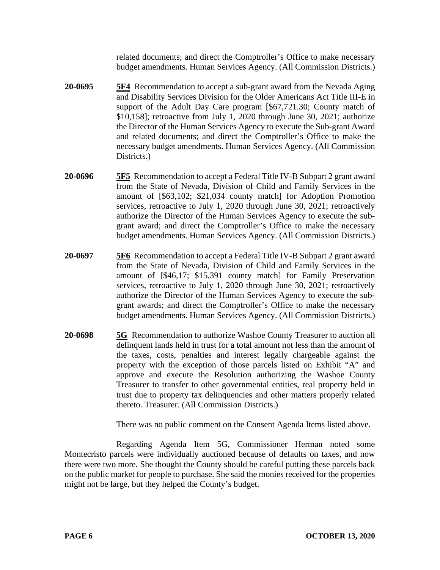related documents; and direct the Comptroller's Office to make necessary budget amendments. Human Services Agency. (All Commission Districts.)

- **20-0695 5F4** Recommendation to accept a sub-grant award from the Nevada Aging and Disability Services Division for the Older Americans Act Title III-E in support of the Adult Day Care program [\$67,721.30; County match of \$10,158]; retroactive from July 1, 2020 through June 30, 2021; authorize the Director of the Human Services Agency to execute the Sub-grant Award and related documents; and direct the Comptroller's Office to make the necessary budget amendments. Human Services Agency. (All Commission Districts.
- **20-0696 5F5** Recommendation to accept a Federal Title IV-B Subpart 2 grant award from the State of Nevada, Division of Child and Family Services in the amount of [\$63,102; \$21,034 county match] for Adoption Promotion services, retroactive to July 1, 2020 through June 30, 2021; retroactively authorize the Director of the Human Services Agency to execute the subgrant award; and direct the Comptroller's Office to make the necessary budget amendments. Human Services Agency. (All Commission Districts.)
- **20-0697 5F6** Recommendation to accept a Federal Title IV-B Subpart 2 grant award from the State of Nevada, Division of Child and Family Services in the amount of [\$46,17; \$15,391 county match] for Family Preservation services, retroactive to July 1, 2020 through June 30, 2021; retroactively authorize the Director of the Human Services Agency to execute the subgrant awards; and direct the Comptroller's Office to make the necessary budget amendments. Human Services Agency. (All Commission Districts.)
- **20-0698 5G** Recommendation to authorize Washoe County Treasurer to auction all delinquent lands held in trust for a total amount not less than the amount of the taxes, costs, penalties and interest legally chargeable against the property with the exception of those parcels listed on Exhibit "A" and approve and execute the Resolution authorizing the Washoe County Treasurer to transfer to other governmental entities, real property held in trust due to property tax delinquencies and other matters properly related thereto. Treasurer. (All Commission Districts.)

There was no public comment on the Consent Agenda Items listed above.

Regarding Agenda Item 5G, Commissioner Herman noted some Montecristo parcels were individually auctioned because of defaults on taxes, and now there were two more. She thought the County should be careful putting these parcels back on the public market for people to purchase. She said the monies received for the properties might not be large, but they helped the County's budget.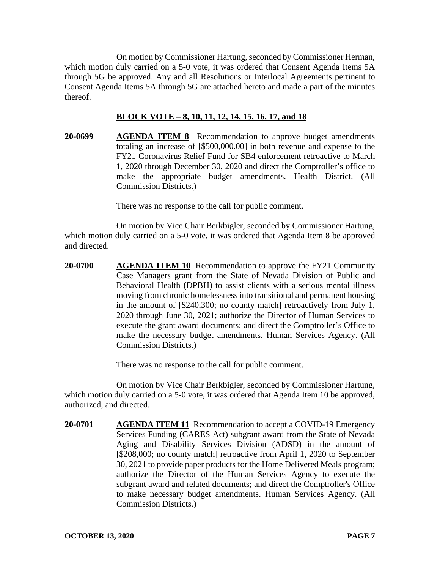On motion by Commissioner Hartung, seconded by Commissioner Herman, which motion duly carried on a 5-0 vote, it was ordered that Consent Agenda Items 5A through 5G be approved. Any and all Resolutions or Interlocal Agreements pertinent to Consent Agenda Items 5A through 5G are attached hereto and made a part of the minutes thereof.

#### **BLOCK VOTE – 8, 10, 11, 12, 14, 15, 16, 17, and 18**

**20-0699 AGENDA ITEM 8** Recommendation to approve budget amendments totaling an increase of [\$500,000.00] in both revenue and expense to the FY21 Coronavirus Relief Fund for SB4 enforcement retroactive to March 1, 2020 through December 30, 2020 and direct the Comptroller's office to make the appropriate budget amendments. Health District. (All Commission Districts.)

There was no response to the call for public comment.

On motion by Vice Chair Berkbigler, seconded by Commissioner Hartung, which motion duly carried on a 5-0 vote, it was ordered that Agenda Item 8 be approved and directed.

**20-0700 AGENDA ITEM 10** Recommendation to approve the FY21 Community Case Managers grant from the State of Nevada Division of Public and Behavioral Health (DPBH) to assist clients with a serious mental illness moving from chronic homelessness into transitional and permanent housing in the amount of [\$240,300; no county match] retroactively from July 1, 2020 through June 30, 2021; authorize the Director of Human Services to execute the grant award documents; and direct the Comptroller's Office to make the necessary budget amendments. Human Services Agency. (All Commission Districts.)

There was no response to the call for public comment.

On motion by Vice Chair Berkbigler, seconded by Commissioner Hartung, which motion duly carried on a 5-0 vote, it was ordered that Agenda Item 10 be approved, authorized, and directed.

**20-0701 AGENDA ITEM 11** Recommendation to accept a COVID-19 Emergency Services Funding (CARES Act) subgrant award from the State of Nevada Aging and Disability Services Division (ADSD) in the amount of [\$208,000; no county match] retroactive from April 1, 2020 to September 30, 2021 to provide paper products for the Home Delivered Meals program; authorize the Director of the Human Services Agency to execute the subgrant award and related documents; and direct the Comptroller's Office to make necessary budget amendments. Human Services Agency. (All Commission Districts.)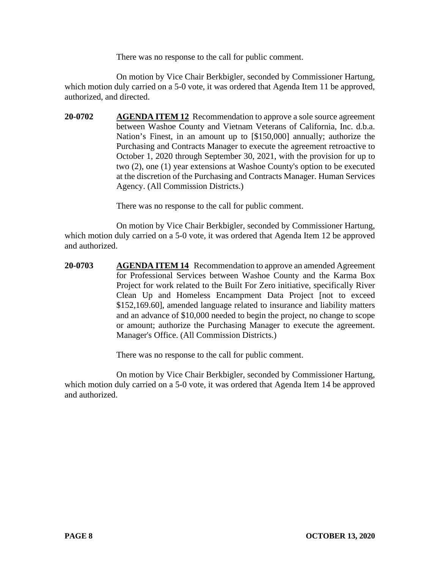There was no response to the call for public comment.

On motion by Vice Chair Berkbigler, seconded by Commissioner Hartung, which motion duly carried on a 5-0 vote, it was ordered that Agenda Item 11 be approved, authorized, and directed.

**20-0702 AGENDA ITEM 12** Recommendation to approve a sole source agreement between Washoe County and Vietnam Veterans of California, Inc. d.b.a. Nation's Finest, in an amount up to [\$150,000] annually; authorize the Purchasing and Contracts Manager to execute the agreement retroactive to October 1, 2020 through September 30, 2021, with the provision for up to two (2), one (1) year extensions at Washoe County's option to be executed at the discretion of the Purchasing and Contracts Manager. Human Services Agency. (All Commission Districts.)

There was no response to the call for public comment.

On motion by Vice Chair Berkbigler, seconded by Commissioner Hartung, which motion duly carried on a 5-0 vote, it was ordered that Agenda Item 12 be approved and authorized.

**20-0703 AGENDA ITEM 14** Recommendation to approve an amended Agreement for Professional Services between Washoe County and the Karma Box Project for work related to the Built For Zero initiative, specifically River Clean Up and Homeless Encampment Data Project [not to exceed \$152,169.60], amended language related to insurance and liability matters and an advance of \$10,000 needed to begin the project, no change to scope or amount; authorize the Purchasing Manager to execute the agreement. Manager's Office. (All Commission Districts.)

There was no response to the call for public comment.

On motion by Vice Chair Berkbigler, seconded by Commissioner Hartung, which motion duly carried on a 5-0 vote, it was ordered that Agenda Item 14 be approved and authorized.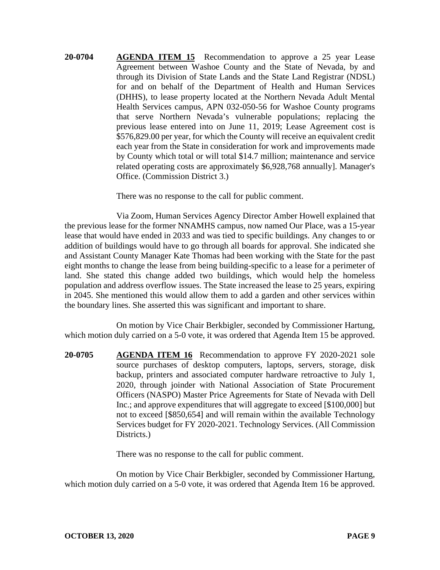**20-0704 AGENDA ITEM 15** Recommendation to approve a 25 year Lease Agreement between Washoe County and the State of Nevada, by and through its Division of State Lands and the State Land Registrar (NDSL) for and on behalf of the Department of Health and Human Services (DHHS), to lease property located at the Northern Nevada Adult Mental Health Services campus, APN 032-050-56 for Washoe County programs that serve Northern Nevada's vulnerable populations; replacing the previous lease entered into on June 11, 2019; Lease Agreement cost is \$576,829.00 per year, for which the County will receive an equivalent credit each year from the State in consideration for work and improvements made by County which total or will total \$14.7 million; maintenance and service related operating costs are approximately \$6,928,768 annually]. Manager's Office. (Commission District 3.)

There was no response to the call for public comment.

Via Zoom, Human Services Agency Director Amber Howell explained that the previous lease for the former NNAMHS campus, now named Our Place, was a 15-year lease that would have ended in 2033 and was tied to specific buildings. Any changes to or addition of buildings would have to go through all boards for approval. She indicated she and Assistant County Manager Kate Thomas had been working with the State for the past eight months to change the lease from being building-specific to a lease for a perimeter of land. She stated this change added two buildings, which would help the homeless population and address overflow issues. The State increased the lease to 25 years, expiring in 2045. She mentioned this would allow them to add a garden and other services within the boundary lines. She asserted this was significant and important to share.

On motion by Vice Chair Berkbigler, seconded by Commissioner Hartung, which motion duly carried on a 5-0 vote, it was ordered that Agenda Item 15 be approved.

**20-0705 AGENDA ITEM 16** Recommendation to approve FY 2020-2021 sole source purchases of desktop computers, laptops, servers, storage, disk backup, printers and associated computer hardware retroactive to July 1, 2020, through joinder with National Association of State Procurement Officers (NASPO) Master Price Agreements for State of Nevada with Dell Inc.; and approve expenditures that will aggregate to exceed [\$100,000] but not to exceed [\$850,654] and will remain within the available Technology Services budget for FY 2020-2021. Technology Services. (All Commission Districts.

There was no response to the call for public comment.

On motion by Vice Chair Berkbigler, seconded by Commissioner Hartung, which motion duly carried on a 5-0 vote, it was ordered that Agenda Item 16 be approved.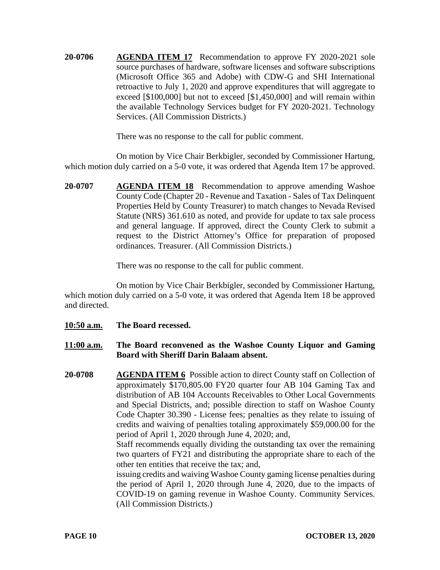**20-0706 AGENDA ITEM 17** Recommendation to approve FY 2020-2021 sole source purchases of hardware, software licenses and software subscriptions (Microsoft Office 365 and Adobe) with CDW-G and SHI International retroactive to July 1, 2020 and approve expenditures that will aggregate to exceed [\$100,000] but not to exceed [\$1,450,000] and will remain within the available Technology Services budget for FY 2020-2021. Technology Services. (All Commission Districts.)

There was no response to the call for public comment.

On motion by Vice Chair Berkbigler, seconded by Commissioner Hartung, which motion duly carried on a 5-0 vote, it was ordered that Agenda Item 17 be approved.

**20-0707 AGENDA ITEM 18** Recommendation to approve amending Washoe County Code (Chapter 20 - Revenue and Taxation - Sales of Tax Delinquent Properties Held by County Treasurer) to match changes to Nevada Revised Statute (NRS) 361.610 as noted, and provide for update to tax sale process and general language. If approved, direct the County Clerk to submit a request to the District Attorney's Office for preparation of proposed ordinances. Treasurer. (All Commission Districts.)

There was no response to the call for public comment.

On motion by Vice Chair Berkbigler, seconded by Commissioner Hartung, which motion duly carried on a 5-0 vote, it was ordered that Agenda Item 18 be approved and directed.

- **10:50 a.m. The Board recessed.**
- **11:00 a.m. The Board reconvened as the Washoe County Liquor and Gaming Board with Sheriff Darin Balaam absent.**
- **20-0708 AGENDA ITEM 6** Possible action to direct County staff on Collection of approximately \$170,805.00 FY20 quarter four AB 104 Gaming Tax and distribution of AB 104 Accounts Receivables to Other Local Governments and Special Districts, and; possible direction to staff on Washoe County Code Chapter 30.390 - License fees; penalties as they relate to issuing of credits and waiving of penalties totaling approximately \$59,000.00 for the period of April 1, 2020 through June 4, 2020; and,

Staff recommends equally dividing the outstanding tax over the remaining two quarters of FY21 and distributing the appropriate share to each of the other ten entities that receive the tax; and,

issuing credits and waiving Washoe County gaming license penalties during the period of April 1, 2020 through June 4, 2020, due to the impacts of COVID-19 on gaming revenue in Washoe County. Community Services. (All Commission Districts.)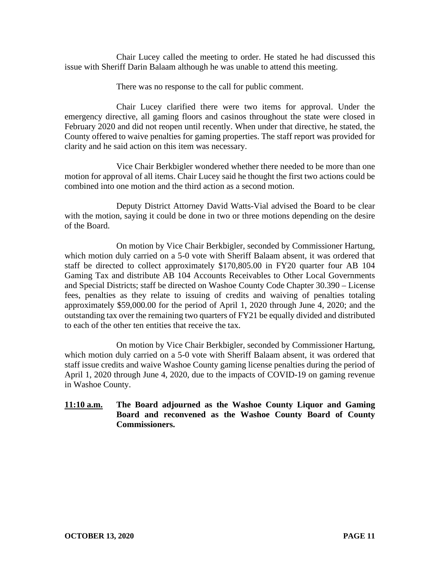Chair Lucey called the meeting to order. He stated he had discussed this issue with Sheriff Darin Balaam although he was unable to attend this meeting.

There was no response to the call for public comment.

Chair Lucey clarified there were two items for approval. Under the emergency directive, all gaming floors and casinos throughout the state were closed in February 2020 and did not reopen until recently. When under that directive, he stated, the County offered to waive penalties for gaming properties. The staff report was provided for clarity and he said action on this item was necessary.

Vice Chair Berkbigler wondered whether there needed to be more than one motion for approval of all items. Chair Lucey said he thought the first two actions could be combined into one motion and the third action as a second motion.

Deputy District Attorney David Watts-Vial advised the Board to be clear with the motion, saying it could be done in two or three motions depending on the desire of the Board.

On motion by Vice Chair Berkbigler, seconded by Commissioner Hartung, which motion duly carried on a 5-0 vote with Sheriff Balaam absent, it was ordered that staff be directed to collect approximately \$170,805.00 in FY20 quarter four AB 104 Gaming Tax and distribute AB 104 Accounts Receivables to Other Local Governments and Special Districts; staff be directed on Washoe County Code Chapter 30.390 – License fees, penalties as they relate to issuing of credits and waiving of penalties totaling approximately \$59,000.00 for the period of April 1, 2020 through June 4, 2020; and the outstanding tax over the remaining two quarters of FY21 be equally divided and distributed to each of the other ten entities that receive the tax.

On motion by Vice Chair Berkbigler, seconded by Commissioner Hartung, which motion duly carried on a 5-0 vote with Sheriff Balaam absent, it was ordered that staff issue credits and waive Washoe County gaming license penalties during the period of April 1, 2020 through June 4, 2020, due to the impacts of COVID-19 on gaming revenue in Washoe County.

# **11:10 a.m. The Board adjourned as the Washoe County Liquor and Gaming Board and reconvened as the Washoe County Board of County Commissioners.**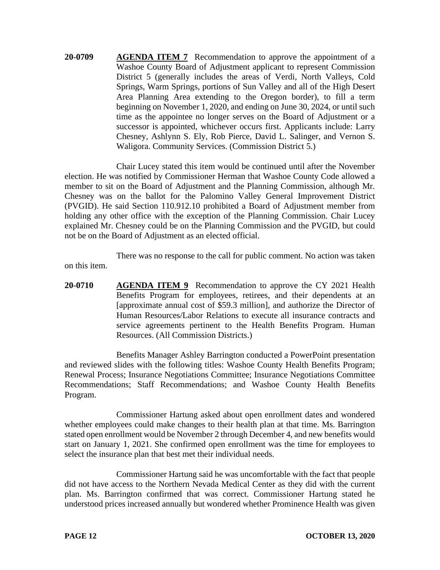**20-0709 AGENDA ITEM 7** Recommendation to approve the appointment of a Washoe County Board of Adjustment applicant to represent Commission District 5 (generally includes the areas of Verdi, North Valleys, Cold Springs, Warm Springs, portions of Sun Valley and all of the High Desert Area Planning Area extending to the Oregon border), to fill a term beginning on November 1, 2020, and ending on June 30, 2024, or until such time as the appointee no longer serves on the Board of Adjustment or a successor is appointed, whichever occurs first. Applicants include: Larry Chesney, Ashlynn S. Ely, Rob Pierce, David L. Salinger, and Vernon S. Waligora. Community Services. (Commission District 5.)

Chair Lucey stated this item would be continued until after the November election. He was notified by Commissioner Herman that Washoe County Code allowed a member to sit on the Board of Adjustment and the Planning Commission, although Mr. Chesney was on the ballot for the Palomino Valley General Improvement District (PVGID). He said Section 110.912.10 prohibited a Board of Adjustment member from holding any other office with the exception of the Planning Commission. Chair Lucey explained Mr. Chesney could be on the Planning Commission and the PVGID, but could not be on the Board of Adjustment as an elected official.

There was no response to the call for public comment. No action was taken on this item.

**20-0710 AGENDA ITEM 9** Recommendation to approve the CY 2021 Health Benefits Program for employees, retirees, and their dependents at an [approximate annual cost of \$59.3 million], and authorize the Director of Human Resources/Labor Relations to execute all insurance contracts and service agreements pertinent to the Health Benefits Program. Human Resources. (All Commission Districts.)

Benefits Manager Ashley Barrington conducted a PowerPoint presentation and reviewed slides with the following titles: Washoe County Health Benefits Program; Renewal Process; Insurance Negotiations Committee; Insurance Negotiations Committee Recommendations; Staff Recommendations; and Washoe County Health Benefits Program.

Commissioner Hartung asked about open enrollment dates and wondered whether employees could make changes to their health plan at that time. Ms. Barrington stated open enrollment would be November 2 through December 4, and new benefits would start on January 1, 2021. She confirmed open enrollment was the time for employees to select the insurance plan that best met their individual needs.

Commissioner Hartung said he was uncomfortable with the fact that people did not have access to the Northern Nevada Medical Center as they did with the current plan. Ms. Barrington confirmed that was correct. Commissioner Hartung stated he understood prices increased annually but wondered whether Prominence Health was given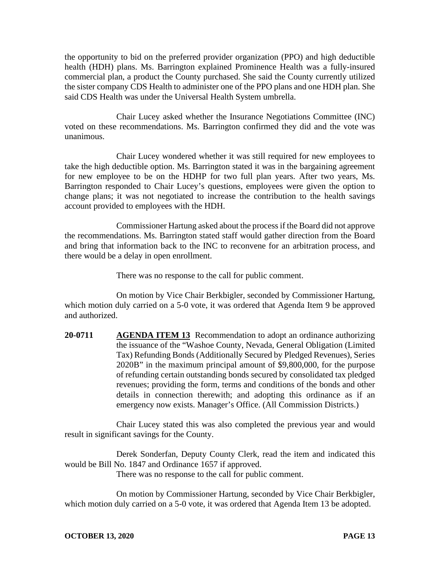the opportunity to bid on the preferred provider organization (PPO) and high deductible health (HDH) plans. Ms. Barrington explained Prominence Health was a fully-insured commercial plan, a product the County purchased. She said the County currently utilized the sister company CDS Health to administer one of the PPO plans and one HDH plan. She said CDS Health was under the Universal Health System umbrella.

Chair Lucey asked whether the Insurance Negotiations Committee (INC) voted on these recommendations. Ms. Barrington confirmed they did and the vote was unanimous.

Chair Lucey wondered whether it was still required for new employees to take the high deductible option. Ms. Barrington stated it was in the bargaining agreement for new employee to be on the HDHP for two full plan years. After two years, Ms. Barrington responded to Chair Lucey's questions, employees were given the option to change plans; it was not negotiated to increase the contribution to the health savings account provided to employees with the HDH.

Commissioner Hartung asked about the process if the Board did not approve the recommendations. Ms. Barrington stated staff would gather direction from the Board and bring that information back to the INC to reconvene for an arbitration process, and there would be a delay in open enrollment.

There was no response to the call for public comment.

On motion by Vice Chair Berkbigler, seconded by Commissioner Hartung, which motion duly carried on a 5-0 vote, it was ordered that Agenda Item 9 be approved and authorized.

**20-0711 AGENDA ITEM 13** Recommendation to adopt an ordinance authorizing the issuance of the "Washoe County, Nevada, General Obligation (Limited Tax) Refunding Bonds (Additionally Secured by Pledged Revenues), Series 2020B" in the maximum principal amount of \$9,800,000, for the purpose of refunding certain outstanding bonds secured by consolidated tax pledged revenues; providing the form, terms and conditions of the bonds and other details in connection therewith; and adopting this ordinance as if an emergency now exists. Manager's Office. (All Commission Districts.)

Chair Lucey stated this was also completed the previous year and would result in significant savings for the County.

Derek Sonderfan, Deputy County Clerk, read the item and indicated this would be Bill No. 1847 and Ordinance 1657 if approved.

There was no response to the call for public comment.

On motion by Commissioner Hartung, seconded by Vice Chair Berkbigler, which motion duly carried on a 5-0 vote, it was ordered that Agenda Item 13 be adopted.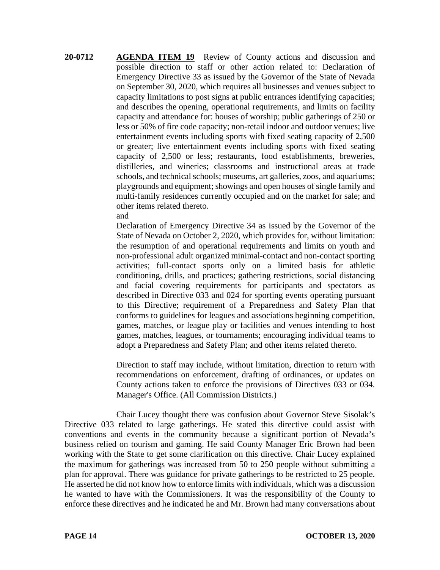**20-0712 AGENDA ITEM 19** Review of County actions and discussion and possible direction to staff or other action related to: Declaration of Emergency Directive 33 as issued by the Governor of the State of Nevada on September 30, 2020, which requires all businesses and venues subject to capacity limitations to post signs at public entrances identifying capacities; and describes the opening, operational requirements, and limits on facility capacity and attendance for: houses of worship; public gatherings of 250 or less or 50% of fire code capacity; non-retail indoor and outdoor venues; live entertainment events including sports with fixed seating capacity of 2,500 or greater; live entertainment events including sports with fixed seating capacity of 2,500 or less; restaurants, food establishments, breweries, distilleries, and wineries; classrooms and instructional areas at trade schools, and technical schools; museums, art galleries, zoos, and aquariums; playgrounds and equipment; showings and open houses of single family and multi-family residences currently occupied and on the market for sale; and other items related thereto.

and

Declaration of Emergency Directive 34 as issued by the Governor of the State of Nevada on October 2, 2020, which provides for, without limitation: the resumption of and operational requirements and limits on youth and non-professional adult organized minimal-contact and non-contact sporting activities; full-contact sports only on a limited basis for athletic conditioning, drills, and practices; gathering restrictions, social distancing and facial covering requirements for participants and spectators as described in Directive 033 and 024 for sporting events operating pursuant to this Directive; requirement of a Preparedness and Safety Plan that conforms to guidelines for leagues and associations beginning competition, games, matches, or league play or facilities and venues intending to host games, matches, leagues, or tournaments; encouraging individual teams to adopt a Preparedness and Safety Plan; and other items related thereto.

Direction to staff may include, without limitation, direction to return with recommendations on enforcement, drafting of ordinances, or updates on County actions taken to enforce the provisions of Directives 033 or 034. Manager's Office. (All Commission Districts.)

Chair Lucey thought there was confusion about Governor Steve Sisolak's Directive 033 related to large gatherings. He stated this directive could assist with conventions and events in the community because a significant portion of Nevada's business relied on tourism and gaming. He said County Manager Eric Brown had been working with the State to get some clarification on this directive. Chair Lucey explained the maximum for gatherings was increased from 50 to 250 people without submitting a plan for approval. There was guidance for private gatherings to be restricted to 25 people. He asserted he did not know how to enforce limits with individuals, which was a discussion he wanted to have with the Commissioners. It was the responsibility of the County to enforce these directives and he indicated he and Mr. Brown had many conversations about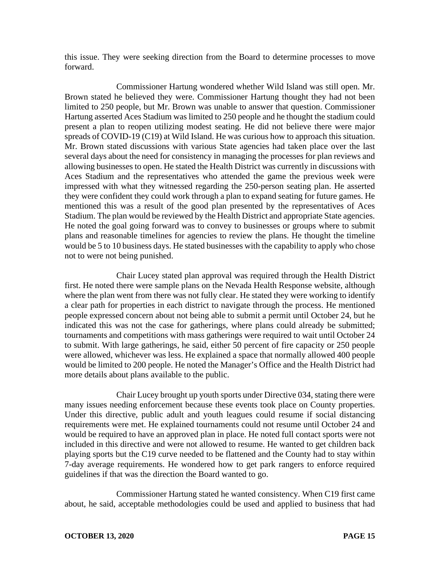this issue. They were seeking direction from the Board to determine processes to move forward.

Commissioner Hartung wondered whether Wild Island was still open. Mr. Brown stated he believed they were. Commissioner Hartung thought they had not been limited to 250 people, but Mr. Brown was unable to answer that question. Commissioner Hartung asserted Aces Stadium was limited to 250 people and he thought the stadium could present a plan to reopen utilizing modest seating. He did not believe there were major spreads of COVID-19 (C19) at Wild Island. He was curious how to approach this situation. Mr. Brown stated discussions with various State agencies had taken place over the last several days about the need for consistency in managing the processes for plan reviews and allowing businesses to open. He stated the Health District was currently in discussions with Aces Stadium and the representatives who attended the game the previous week were impressed with what they witnessed regarding the 250-person seating plan. He asserted they were confident they could work through a plan to expand seating for future games. He mentioned this was a result of the good plan presented by the representatives of Aces Stadium. The plan would be reviewed by the Health District and appropriate State agencies. He noted the goal going forward was to convey to businesses or groups where to submit plans and reasonable timelines for agencies to review the plans. He thought the timeline would be 5 to 10 business days. He stated businesses with the capability to apply who chose not to were not being punished.

Chair Lucey stated plan approval was required through the Health District first. He noted there were sample plans on the Nevada Health Response website, although where the plan went from there was not fully clear. He stated they were working to identify a clear path for properties in each district to navigate through the process. He mentioned people expressed concern about not being able to submit a permit until October 24, but he indicated this was not the case for gatherings, where plans could already be submitted; tournaments and competitions with mass gatherings were required to wait until October 24 to submit. With large gatherings, he said, either 50 percent of fire capacity or 250 people were allowed, whichever was less. He explained a space that normally allowed 400 people would be limited to 200 people. He noted the Manager's Office and the Health District had more details about plans available to the public.

Chair Lucey brought up youth sports under Directive 034, stating there were many issues needing enforcement because these events took place on County properties. Under this directive, public adult and youth leagues could resume if social distancing requirements were met. He explained tournaments could not resume until October 24 and would be required to have an approved plan in place. He noted full contact sports were not included in this directive and were not allowed to resume. He wanted to get children back playing sports but the C19 curve needed to be flattened and the County had to stay within 7-day average requirements. He wondered how to get park rangers to enforce required guidelines if that was the direction the Board wanted to go.

Commissioner Hartung stated he wanted consistency. When C19 first came about, he said, acceptable methodologies could be used and applied to business that had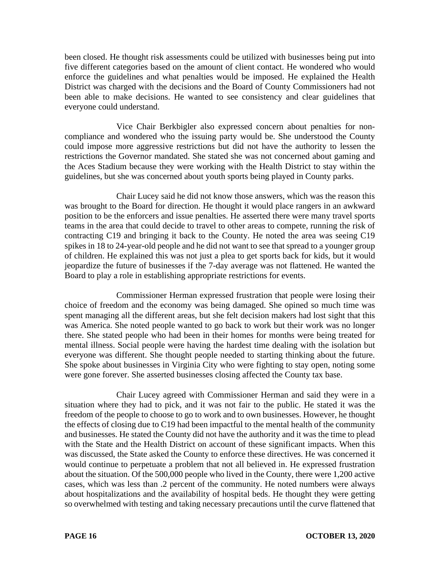been closed. He thought risk assessments could be utilized with businesses being put into five different categories based on the amount of client contact. He wondered who would enforce the guidelines and what penalties would be imposed. He explained the Health District was charged with the decisions and the Board of County Commissioners had not been able to make decisions. He wanted to see consistency and clear guidelines that everyone could understand.

Vice Chair Berkbigler also expressed concern about penalties for noncompliance and wondered who the issuing party would be. She understood the County could impose more aggressive restrictions but did not have the authority to lessen the restrictions the Governor mandated. She stated she was not concerned about gaming and the Aces Stadium because they were working with the Health District to stay within the guidelines, but she was concerned about youth sports being played in County parks.

Chair Lucey said he did not know those answers, which was the reason this was brought to the Board for direction. He thought it would place rangers in an awkward position to be the enforcers and issue penalties. He asserted there were many travel sports teams in the area that could decide to travel to other areas to compete, running the risk of contracting C19 and bringing it back to the County. He noted the area was seeing C19 spikes in 18 to 24-year-old people and he did not want to see that spread to a younger group of children. He explained this was not just a plea to get sports back for kids, but it would jeopardize the future of businesses if the 7-day average was not flattened. He wanted the Board to play a role in establishing appropriate restrictions for events.

Commissioner Herman expressed frustration that people were losing their choice of freedom and the economy was being damaged. She opined so much time was spent managing all the different areas, but she felt decision makers had lost sight that this was America. She noted people wanted to go back to work but their work was no longer there. She stated people who had been in their homes for months were being treated for mental illness. Social people were having the hardest time dealing with the isolation but everyone was different. She thought people needed to starting thinking about the future. She spoke about businesses in Virginia City who were fighting to stay open, noting some were gone forever. She asserted businesses closing affected the County tax base.

Chair Lucey agreed with Commissioner Herman and said they were in a situation where they had to pick, and it was not fair to the public. He stated it was the freedom of the people to choose to go to work and to own businesses. However, he thought the effects of closing due to C19 had been impactful to the mental health of the community and businesses. He stated the County did not have the authority and it was the time to plead with the State and the Health District on account of these significant impacts. When this was discussed, the State asked the County to enforce these directives. He was concerned it would continue to perpetuate a problem that not all believed in. He expressed frustration about the situation. Of the 500,000 people who lived in the County, there were 1,200 active cases, which was less than .2 percent of the community. He noted numbers were always about hospitalizations and the availability of hospital beds. He thought they were getting so overwhelmed with testing and taking necessary precautions until the curve flattened that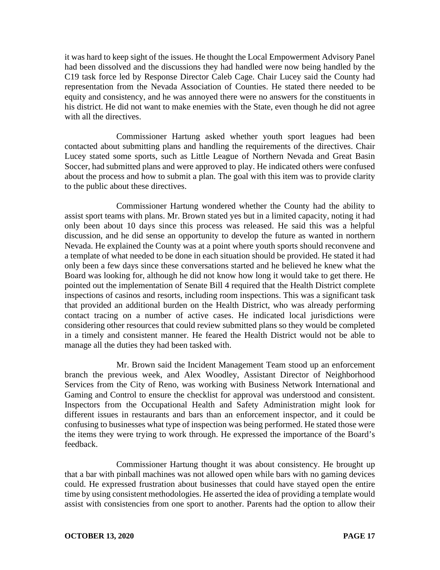it was hard to keep sight of the issues. He thought the Local Empowerment Advisory Panel had been dissolved and the discussions they had handled were now being handled by the C19 task force led by Response Director Caleb Cage. Chair Lucey said the County had representation from the Nevada Association of Counties. He stated there needed to be equity and consistency, and he was annoyed there were no answers for the constituents in his district. He did not want to make enemies with the State, even though he did not agree with all the directives.

Commissioner Hartung asked whether youth sport leagues had been contacted about submitting plans and handling the requirements of the directives. Chair Lucey stated some sports, such as Little League of Northern Nevada and Great Basin Soccer, had submitted plans and were approved to play. He indicated others were confused about the process and how to submit a plan. The goal with this item was to provide clarity to the public about these directives.

Commissioner Hartung wondered whether the County had the ability to assist sport teams with plans. Mr. Brown stated yes but in a limited capacity, noting it had only been about 10 days since this process was released. He said this was a helpful discussion, and he did sense an opportunity to develop the future as wanted in northern Nevada. He explained the County was at a point where youth sports should reconvene and a template of what needed to be done in each situation should be provided. He stated it had only been a few days since these conversations started and he believed he knew what the Board was looking for, although he did not know how long it would take to get there. He pointed out the implementation of Senate Bill 4 required that the Health District complete inspections of casinos and resorts, including room inspections. This was a significant task that provided an additional burden on the Health District, who was already performing contact tracing on a number of active cases. He indicated local jurisdictions were considering other resources that could review submitted plans so they would be completed in a timely and consistent manner. He feared the Health District would not be able to manage all the duties they had been tasked with.

Mr. Brown said the Incident Management Team stood up an enforcement branch the previous week, and Alex Woodley, Assistant Director of Neighborhood Services from the City of Reno, was working with Business Network International and Gaming and Control to ensure the checklist for approval was understood and consistent. Inspectors from the Occupational Health and Safety Administration might look for different issues in restaurants and bars than an enforcement inspector, and it could be confusing to businesses what type of inspection was being performed. He stated those were the items they were trying to work through. He expressed the importance of the Board's feedback.

Commissioner Hartung thought it was about consistency. He brought up that a bar with pinball machines was not allowed open while bars with no gaming devices could. He expressed frustration about businesses that could have stayed open the entire time by using consistent methodologies. He asserted the idea of providing a template would assist with consistencies from one sport to another. Parents had the option to allow their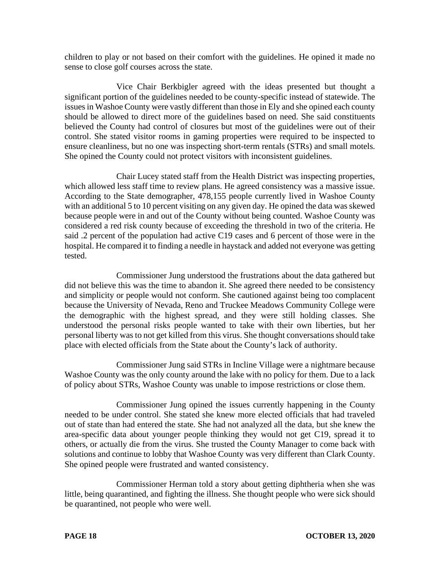children to play or not based on their comfort with the guidelines. He opined it made no sense to close golf courses across the state.

Vice Chair Berkbigler agreed with the ideas presented but thought a significant portion of the guidelines needed to be county-specific instead of statewide. The issues in Washoe County were vastly different than those in Ely and she opined each county should be allowed to direct more of the guidelines based on need. She said constituents believed the County had control of closures but most of the guidelines were out of their control. She stated visitor rooms in gaming properties were required to be inspected to ensure cleanliness, but no one was inspecting short-term rentals (STRs) and small motels. She opined the County could not protect visitors with inconsistent guidelines.

Chair Lucey stated staff from the Health District was inspecting properties, which allowed less staff time to review plans. He agreed consistency was a massive issue. According to the State demographer, 478,155 people currently lived in Washoe County with an additional 5 to 10 percent visiting on any given day. He opined the data was skewed because people were in and out of the County without being counted. Washoe County was considered a red risk county because of exceeding the threshold in two of the criteria. He said .2 percent of the population had active C19 cases and 6 percent of those were in the hospital. He compared it to finding a needle in haystack and added not everyone was getting tested.

Commissioner Jung understood the frustrations about the data gathered but did not believe this was the time to abandon it. She agreed there needed to be consistency and simplicity or people would not conform. She cautioned against being too complacent because the University of Nevada, Reno and Truckee Meadows Community College were the demographic with the highest spread, and they were still holding classes. She understood the personal risks people wanted to take with their own liberties, but her personal liberty was to not get killed from this virus. She thought conversations should take place with elected officials from the State about the County's lack of authority.

Commissioner Jung said STRs in Incline Village were a nightmare because Washoe County was the only county around the lake with no policy for them. Due to a lack of policy about STRs, Washoe County was unable to impose restrictions or close them.

Commissioner Jung opined the issues currently happening in the County needed to be under control. She stated she knew more elected officials that had traveled out of state than had entered the state. She had not analyzed all the data, but she knew the area-specific data about younger people thinking they would not get C19, spread it to others, or actually die from the virus. She trusted the County Manager to come back with solutions and continue to lobby that Washoe County was very different than Clark County. She opined people were frustrated and wanted consistency.

Commissioner Herman told a story about getting diphtheria when she was little, being quarantined, and fighting the illness. She thought people who were sick should be quarantined, not people who were well.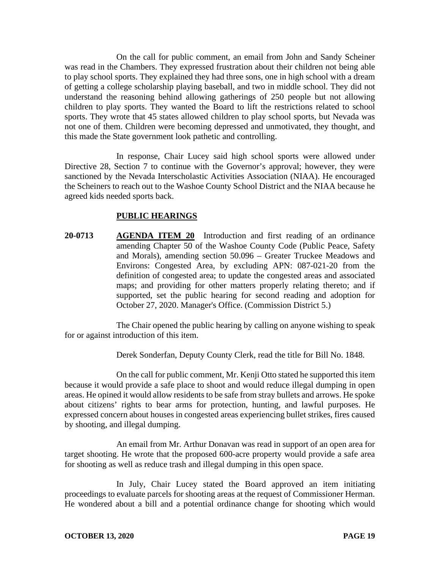On the call for public comment, an email from John and Sandy Scheiner was read in the Chambers. They expressed frustration about their children not being able to play school sports. They explained they had three sons, one in high school with a dream of getting a college scholarship playing baseball, and two in middle school. They did not understand the reasoning behind allowing gatherings of 250 people but not allowing children to play sports. They wanted the Board to lift the restrictions related to school sports. They wrote that 45 states allowed children to play school sports, but Nevada was not one of them. Children were becoming depressed and unmotivated, they thought, and this made the State government look pathetic and controlling.

In response, Chair Lucey said high school sports were allowed under Directive 28, Section 7 to continue with the Governor's approval; however, they were sanctioned by the Nevada Interscholastic Activities Association (NIAA). He encouraged the Scheiners to reach out to the Washoe County School District and the NIAA because he agreed kids needed sports back.

### **PUBLIC HEARINGS**

**20-0713 AGENDA ITEM 20** Introduction and first reading of an ordinance amending Chapter 50 of the Washoe County Code (Public Peace, Safety and Morals), amending section 50.096 – Greater Truckee Meadows and Environs: Congested Area, by excluding APN: 087-021-20 from the definition of congested area; to update the congested areas and associated maps; and providing for other matters properly relating thereto; and if supported, set the public hearing for second reading and adoption for October 27, 2020. Manager's Office. (Commission District 5.)

The Chair opened the public hearing by calling on anyone wishing to speak for or against introduction of this item.

Derek Sonderfan, Deputy County Clerk, read the title for Bill No. 1848.

On the call for public comment, Mr. Kenji Otto stated he supported this item because it would provide a safe place to shoot and would reduce illegal dumping in open areas. He opined it would allow residents to be safe from stray bullets and arrows. He spoke about citizens' rights to bear arms for protection, hunting, and lawful purposes. He expressed concern about houses in congested areas experiencing bullet strikes, fires caused by shooting, and illegal dumping.

An email from Mr. Arthur Donavan was read in support of an open area for target shooting. He wrote that the proposed 600-acre property would provide a safe area for shooting as well as reduce trash and illegal dumping in this open space.

In July, Chair Lucey stated the Board approved an item initiating proceedings to evaluate parcels for shooting areas at the request of Commissioner Herman. He wondered about a bill and a potential ordinance change for shooting which would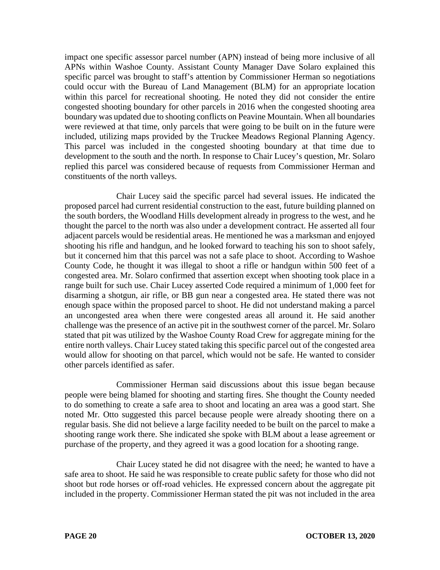impact one specific assessor parcel number (APN) instead of being more inclusive of all APNs within Washoe County. Assistant County Manager Dave Solaro explained this specific parcel was brought to staff's attention by Commissioner Herman so negotiations could occur with the Bureau of Land Management (BLM) for an appropriate location within this parcel for recreational shooting. He noted they did not consider the entire congested shooting boundary for other parcels in 2016 when the congested shooting area boundary was updated due to shooting conflicts on Peavine Mountain. When all boundaries were reviewed at that time, only parcels that were going to be built on in the future were included, utilizing maps provided by the Truckee Meadows Regional Planning Agency. This parcel was included in the congested shooting boundary at that time due to development to the south and the north. In response to Chair Lucey's question, Mr. Solaro replied this parcel was considered because of requests from Commissioner Herman and constituents of the north valleys.

Chair Lucey said the specific parcel had several issues. He indicated the proposed parcel had current residential construction to the east, future building planned on the south borders, the Woodland Hills development already in progress to the west, and he thought the parcel to the north was also under a development contract. He asserted all four adjacent parcels would be residential areas. He mentioned he was a marksman and enjoyed shooting his rifle and handgun, and he looked forward to teaching his son to shoot safely, but it concerned him that this parcel was not a safe place to shoot. According to Washoe County Code, he thought it was illegal to shoot a rifle or handgun within 500 feet of a congested area. Mr. Solaro confirmed that assertion except when shooting took place in a range built for such use. Chair Lucey asserted Code required a minimum of 1,000 feet for disarming a shotgun, air rifle, or BB gun near a congested area. He stated there was not enough space within the proposed parcel to shoot. He did not understand making a parcel an uncongested area when there were congested areas all around it. He said another challenge was the presence of an active pit in the southwest corner of the parcel. Mr. Solaro stated that pit was utilized by the Washoe County Road Crew for aggregate mining for the entire north valleys. Chair Lucey stated taking this specific parcel out of the congested area would allow for shooting on that parcel, which would not be safe. He wanted to consider other parcels identified as safer.

Commissioner Herman said discussions about this issue began because people were being blamed for shooting and starting fires. She thought the County needed to do something to create a safe area to shoot and locating an area was a good start. She noted Mr. Otto suggested this parcel because people were already shooting there on a regular basis. She did not believe a large facility needed to be built on the parcel to make a shooting range work there. She indicated she spoke with BLM about a lease agreement or purchase of the property, and they agreed it was a good location for a shooting range.

Chair Lucey stated he did not disagree with the need; he wanted to have a safe area to shoot. He said he was responsible to create public safety for those who did not shoot but rode horses or off-road vehicles. He expressed concern about the aggregate pit included in the property. Commissioner Herman stated the pit was not included in the area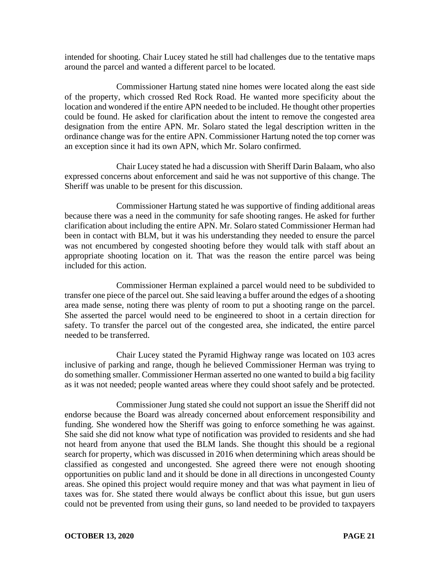intended for shooting. Chair Lucey stated he still had challenges due to the tentative maps around the parcel and wanted a different parcel to be located.

Commissioner Hartung stated nine homes were located along the east side of the property, which crossed Red Rock Road. He wanted more specificity about the location and wondered if the entire APN needed to be included. He thought other properties could be found. He asked for clarification about the intent to remove the congested area designation from the entire APN. Mr. Solaro stated the legal description written in the ordinance change was for the entire APN. Commissioner Hartung noted the top corner was an exception since it had its own APN, which Mr. Solaro confirmed.

Chair Lucey stated he had a discussion with Sheriff Darin Balaam, who also expressed concerns about enforcement and said he was not supportive of this change. The Sheriff was unable to be present for this discussion.

Commissioner Hartung stated he was supportive of finding additional areas because there was a need in the community for safe shooting ranges. He asked for further clarification about including the entire APN. Mr. Solaro stated Commissioner Herman had been in contact with BLM, but it was his understanding they needed to ensure the parcel was not encumbered by congested shooting before they would talk with staff about an appropriate shooting location on it. That was the reason the entire parcel was being included for this action.

Commissioner Herman explained a parcel would need to be subdivided to transfer one piece of the parcel out. She said leaving a buffer around the edges of a shooting area made sense, noting there was plenty of room to put a shooting range on the parcel. She asserted the parcel would need to be engineered to shoot in a certain direction for safety. To transfer the parcel out of the congested area, she indicated, the entire parcel needed to be transferred.

Chair Lucey stated the Pyramid Highway range was located on 103 acres inclusive of parking and range, though he believed Commissioner Herman was trying to do something smaller. Commissioner Herman asserted no one wanted to build a big facility as it was not needed; people wanted areas where they could shoot safely and be protected.

Commissioner Jung stated she could not support an issue the Sheriff did not endorse because the Board was already concerned about enforcement responsibility and funding. She wondered how the Sheriff was going to enforce something he was against. She said she did not know what type of notification was provided to residents and she had not heard from anyone that used the BLM lands. She thought this should be a regional search for property, which was discussed in 2016 when determining which areas should be classified as congested and uncongested. She agreed there were not enough shooting opportunities on public land and it should be done in all directions in uncongested County areas. She opined this project would require money and that was what payment in lieu of taxes was for. She stated there would always be conflict about this issue, but gun users could not be prevented from using their guns, so land needed to be provided to taxpayers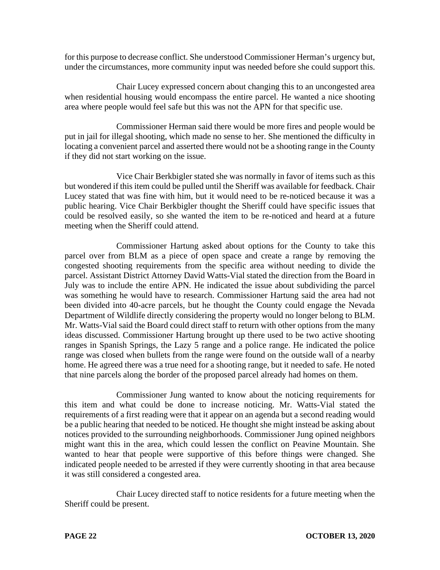for this purpose to decrease conflict. She understood Commissioner Herman's urgency but, under the circumstances, more community input was needed before she could support this.

Chair Lucey expressed concern about changing this to an uncongested area when residential housing would encompass the entire parcel. He wanted a nice shooting area where people would feel safe but this was not the APN for that specific use.

Commissioner Herman said there would be more fires and people would be put in jail for illegal shooting, which made no sense to her. She mentioned the difficulty in locating a convenient parcel and asserted there would not be a shooting range in the County if they did not start working on the issue.

Vice Chair Berkbigler stated she was normally in favor of items such as this but wondered if this item could be pulled until the Sheriff was available for feedback. Chair Lucey stated that was fine with him, but it would need to be re-noticed because it was a public hearing. Vice Chair Berkbigler thought the Sheriff could have specific issues that could be resolved easily, so she wanted the item to be re-noticed and heard at a future meeting when the Sheriff could attend.

Commissioner Hartung asked about options for the County to take this parcel over from BLM as a piece of open space and create a range by removing the congested shooting requirements from the specific area without needing to divide the parcel. Assistant District Attorney David Watts-Vial stated the direction from the Board in July was to include the entire APN. He indicated the issue about subdividing the parcel was something he would have to research. Commissioner Hartung said the area had not been divided into 40-acre parcels, but he thought the County could engage the Nevada Department of Wildlife directly considering the property would no longer belong to BLM. Mr. Watts-Vial said the Board could direct staff to return with other options from the many ideas discussed. Commissioner Hartung brought up there used to be two active shooting ranges in Spanish Springs, the Lazy 5 range and a police range. He indicated the police range was closed when bullets from the range were found on the outside wall of a nearby home. He agreed there was a true need for a shooting range, but it needed to safe. He noted that nine parcels along the border of the proposed parcel already had homes on them.

Commissioner Jung wanted to know about the noticing requirements for this item and what could be done to increase noticing. Mr. Watts-Vial stated the requirements of a first reading were that it appear on an agenda but a second reading would be a public hearing that needed to be noticed. He thought she might instead be asking about notices provided to the surrounding neighborhoods. Commissioner Jung opined neighbors might want this in the area, which could lessen the conflict on Peavine Mountain. She wanted to hear that people were supportive of this before things were changed. She indicated people needed to be arrested if they were currently shooting in that area because it was still considered a congested area.

Chair Lucey directed staff to notice residents for a future meeting when the Sheriff could be present.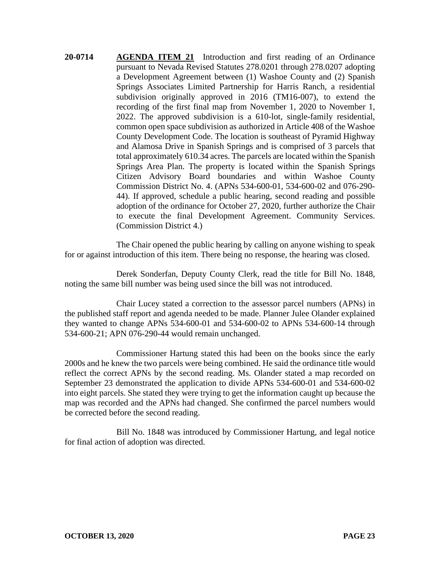**20-0714 AGENDA ITEM 21** Introduction and first reading of an Ordinance pursuant to Nevada Revised Statutes 278.0201 through 278.0207 adopting a Development Agreement between (1) Washoe County and (2) Spanish Springs Associates Limited Partnership for Harris Ranch, a residential subdivision originally approved in 2016 (TM16-007), to extend the recording of the first final map from November 1, 2020 to November 1, 2022. The approved subdivision is a 610-lot, single-family residential, common open space subdivision as authorized in Article 408 of the Washoe County Development Code. The location is southeast of Pyramid Highway and Alamosa Drive in Spanish Springs and is comprised of 3 parcels that total approximately 610.34 acres. The parcels are located within the Spanish Springs Area Plan. The property is located within the Spanish Springs Citizen Advisory Board boundaries and within Washoe County Commission District No. 4. (APNs 534-600-01, 534-600-02 and 076-290- 44). If approved, schedule a public hearing, second reading and possible adoption of the ordinance for October 27, 2020, further authorize the Chair to execute the final Development Agreement. Community Services. (Commission District 4.)

The Chair opened the public hearing by calling on anyone wishing to speak for or against introduction of this item. There being no response, the hearing was closed.

Derek Sonderfan, Deputy County Clerk, read the title for Bill No. 1848, noting the same bill number was being used since the bill was not introduced.

Chair Lucey stated a correction to the assessor parcel numbers (APNs) in the published staff report and agenda needed to be made. Planner Julee Olander explained they wanted to change APNs 534-600-01 and 534-600-02 to APNs 534-600-14 through 534-600-21; APN 076-290-44 would remain unchanged.

Commissioner Hartung stated this had been on the books since the early 2000s and he knew the two parcels were being combined. He said the ordinance title would reflect the correct APNs by the second reading. Ms. Olander stated a map recorded on September 23 demonstrated the application to divide APNs 534-600-01 and 534-600-02 into eight parcels. She stated they were trying to get the information caught up because the map was recorded and the APNs had changed. She confirmed the parcel numbers would be corrected before the second reading.

Bill No. 1848 was introduced by Commissioner Hartung, and legal notice for final action of adoption was directed.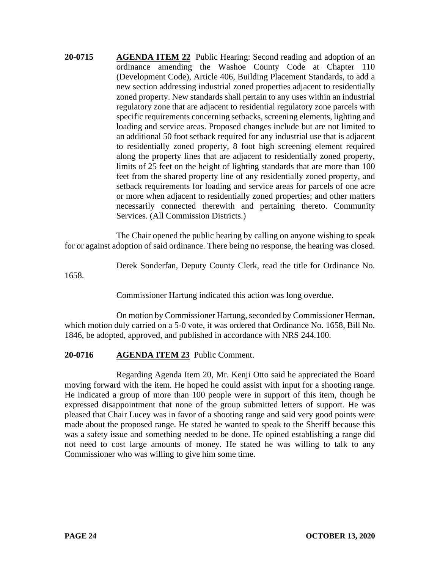**20-0715 AGENDA ITEM 22** Public Hearing: Second reading and adoption of an ordinance amending the Washoe County Code at Chapter 110 (Development Code), Article 406, Building Placement Standards, to add a new section addressing industrial zoned properties adjacent to residentially zoned property. New standards shall pertain to any uses within an industrial regulatory zone that are adjacent to residential regulatory zone parcels with specific requirements concerning setbacks, screening elements, lighting and loading and service areas. Proposed changes include but are not limited to an additional 50 foot setback required for any industrial use that is adjacent to residentially zoned property, 8 foot high screening element required along the property lines that are adjacent to residentially zoned property, limits of 25 feet on the height of lighting standards that are more than 100 feet from the shared property line of any residentially zoned property, and setback requirements for loading and service areas for parcels of one acre or more when adjacent to residentially zoned properties; and other matters necessarily connected therewith and pertaining thereto. Community Services. (All Commission Districts.)

The Chair opened the public hearing by calling on anyone wishing to speak for or against adoption of said ordinance. There being no response, the hearing was closed.

Derek Sonderfan, Deputy County Clerk, read the title for Ordinance No.

1658.

Commissioner Hartung indicated this action was long overdue.

On motion by Commissioner Hartung, seconded by Commissioner Herman, which motion duly carried on a 5-0 vote, it was ordered that Ordinance No. 1658, Bill No. 1846, be adopted, approved, and published in accordance with NRS 244.100.

### **20-0716 AGENDA ITEM 23** Public Comment.

Regarding Agenda Item 20, Mr. Kenji Otto said he appreciated the Board moving forward with the item. He hoped he could assist with input for a shooting range. He indicated a group of more than 100 people were in support of this item, though he expressed disappointment that none of the group submitted letters of support. He was pleased that Chair Lucey was in favor of a shooting range and said very good points were made about the proposed range. He stated he wanted to speak to the Sheriff because this was a safety issue and something needed to be done. He opined establishing a range did not need to cost large amounts of money. He stated he was willing to talk to any Commissioner who was willing to give him some time.